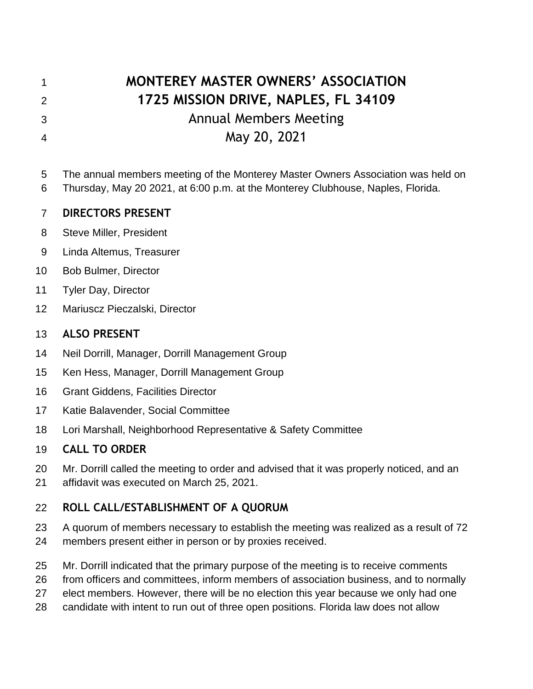# **MONTEREY MASTER OWNERS' ASSOCIATION 1725 MISSION DRIVE, NAPLES, FL 34109** Annual Members Meeting May 20, 2021

The annual members meeting of the Monterey Master Owners Association was held on

Thursday, May 20 2021, at 6:00 p.m. at the Monterey Clubhouse, Naples, Florida.

## **DIRECTORS PRESENT**

- Steve Miller, President
- Linda Altemus, Treasurer
- Bob Bulmer, Director
- Tyler Day, Director
- Mariuscz Pieczalski, Director

## **ALSO PRESENT**

- Neil Dorrill, Manager, Dorrill Management Group
- Ken Hess, Manager, Dorrill Management Group
- Grant Giddens, Facilities Director
- Katie Balavender, Social Committee
- Lori Marshall, Neighborhood Representative & Safety Committee

# **CALL TO ORDER**

- Mr. Dorrill called the meeting to order and advised that it was properly noticed, and an
- affidavit was executed on March 25, 2021.

# **ROLL CALL/ESTABLISHMENT OF A QUORUM**

- A quorum of members necessary to establish the meeting was realized as a result of 72
- members present either in person or by proxies received.
- Mr. Dorrill indicated that the primary purpose of the meeting is to receive comments
- from officers and committees, inform members of association business, and to normally
- elect members. However, there will be no election this year because we only had one
- candidate with intent to run out of three open positions. Florida law does not allow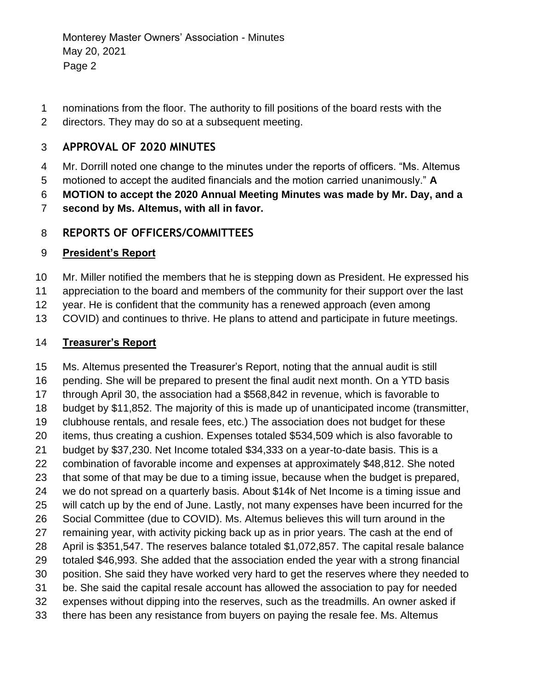- nominations from the floor. The authority to fill positions of the board rests with the
- directors. They may do so at a subsequent meeting.

#### **APPROVAL OF 2020 MINUTES**

- Mr. Dorrill noted one change to the minutes under the reports of officers. "Ms. Altemus
- motioned to accept the audited financials and the motion carried unanimously." **A**
- **MOTION to accept the 2020 Annual Meeting Minutes was made by Mr. Day, and a**
- **second by Ms. Altemus, with all in favor.**

#### **REPORTS OF OFFICERS/COMMITTEES**

#### **President's Report**

- Mr. Miller notified the members that he is stepping down as President. He expressed his
- appreciation to the board and members of the community for their support over the last
- year. He is confident that the community has a renewed approach (even among
- COVID) and continues to thrive. He plans to attend and participate in future meetings.

#### **Treasurer's Report**

 Ms. Altemus presented the Treasurer's Report, noting that the annual audit is still pending. She will be prepared to present the final audit next month. On a YTD basis through April 30, the association had a \$568,842 in revenue, which is favorable to budget by \$11,852. The majority of this is made up of unanticipated income (transmitter, clubhouse rentals, and resale fees, etc.) The association does not budget for these items, thus creating a cushion. Expenses totaled \$534,509 which is also favorable to budget by \$37,230. Net Income totaled \$34,333 on a year-to-date basis. This is a combination of favorable income and expenses at approximately \$48,812. She noted that some of that may be due to a timing issue, because when the budget is prepared, we do not spread on a quarterly basis. About \$14k of Net Income is a timing issue and will catch up by the end of June. Lastly, not many expenses have been incurred for the Social Committee (due to COVID). Ms. Altemus believes this will turn around in the remaining year, with activity picking back up as in prior years. The cash at the end of April is \$351,547. The reserves balance totaled \$1,072,857. The capital resale balance totaled \$46,993. She added that the association ended the year with a strong financial position. She said they have worked very hard to get the reserves where they needed to be. She said the capital resale account has allowed the association to pay for needed expenses without dipping into the reserves, such as the treadmills. An owner asked if there has been any resistance from buyers on paying the resale fee. Ms. Altemus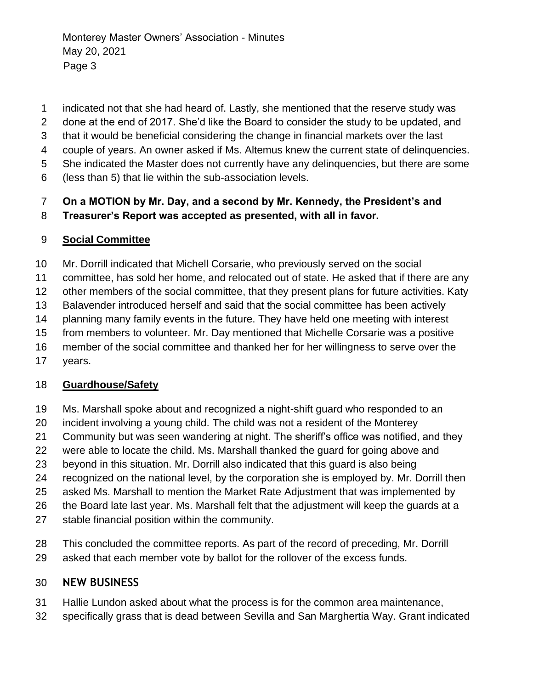- indicated not that she had heard of. Lastly, she mentioned that the reserve study was
- done at the end of 2017. She'd like the Board to consider the study to be updated, and
- that it would be beneficial considering the change in financial markets over the last
- couple of years. An owner asked if Ms. Altemus knew the current state of delinquencies.
- She indicated the Master does not currently have any delinquencies, but there are some
- (less than 5) that lie within the sub-association levels.

# **On a MOTION by Mr. Day, and a second by Mr. Kennedy, the President's and**

#### **Treasurer's Report was accepted as presented, with all in favor.**

#### **Social Committee**

Mr. Dorrill indicated that Michell Corsarie, who previously served on the social

committee, has sold her home, and relocated out of state. He asked that if there are any

other members of the social committee, that they present plans for future activities. Katy

Balavender introduced herself and said that the social committee has been actively

planning many family events in the future. They have held one meeting with interest

from members to volunteer. Mr. Day mentioned that Michelle Corsarie was a positive

member of the social committee and thanked her for her willingness to serve over the

years.

#### **Guardhouse/Safety**

- Ms. Marshall spoke about and recognized a night-shift guard who responded to an
- incident involving a young child. The child was not a resident of the Monterey
- Community but was seen wandering at night. The sheriff's office was notified, and they
- were able to locate the child. Ms. Marshall thanked the guard for going above and
- beyond in this situation. Mr. Dorrill also indicated that this guard is also being
- recognized on the national level, by the corporation she is employed by. Mr. Dorrill then
- asked Ms. Marshall to mention the Market Rate Adjustment that was implemented by
- the Board late last year. Ms. Marshall felt that the adjustment will keep the guards at a
- stable financial position within the community.
- This concluded the committee reports. As part of the record of preceding, Mr. Dorrill
- asked that each member vote by ballot for the rollover of the excess funds.

#### **NEW BUSINESS**

- Hallie Lundon asked about what the process is for the common area maintenance,
- specifically grass that is dead between Sevilla and San Marghertia Way. Grant indicated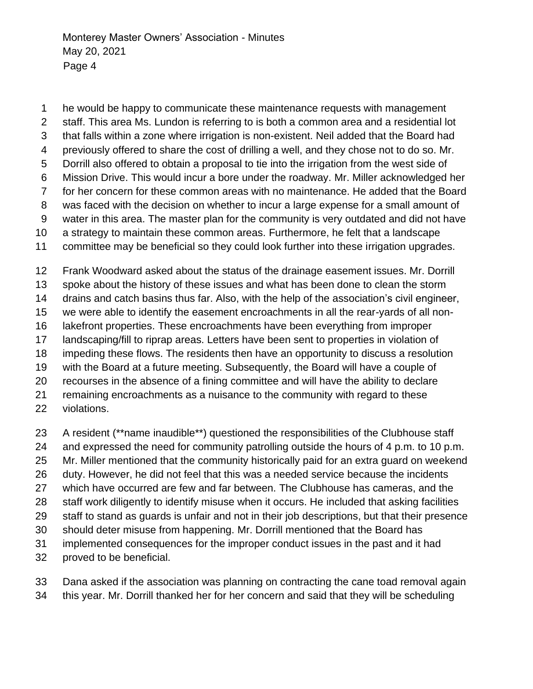he would be happy to communicate these maintenance requests with management staff. This area Ms. Lundon is referring to is both a common area and a residential lot that falls within a zone where irrigation is non-existent. Neil added that the Board had previously offered to share the cost of drilling a well, and they chose not to do so. Mr. Dorrill also offered to obtain a proposal to tie into the irrigation from the west side of Mission Drive. This would incur a bore under the roadway. Mr. Miller acknowledged her for her concern for these common areas with no maintenance. He added that the Board was faced with the decision on whether to incur a large expense for a small amount of water in this area. The master plan for the community is very outdated and did not have a strategy to maintain these common areas. Furthermore, he felt that a landscape committee may be beneficial so they could look further into these irrigation upgrades.

 Frank Woodward asked about the status of the drainage easement issues. Mr. Dorrill spoke about the history of these issues and what has been done to clean the storm drains and catch basins thus far. Also, with the help of the association's civil engineer, we were able to identify the easement encroachments in all the rear-yards of all non- lakefront properties. These encroachments have been everything from improper landscaping/fill to riprap areas. Letters have been sent to properties in violation of impeding these flows. The residents then have an opportunity to discuss a resolution with the Board at a future meeting. Subsequently, the Board will have a couple of recourses in the absence of a fining committee and will have the ability to declare remaining encroachments as a nuisance to the community with regard to these violations.

- 23 A resident (\*\*name inaudible\*\*) questioned the responsibilities of the Clubhouse staff
- and expressed the need for community patrolling outside the hours of 4 p.m. to 10 p.m.
- Mr. Miller mentioned that the community historically paid for an extra guard on weekend
- duty. However, he did not feel that this was a needed service because the incidents
- which have occurred are few and far between. The Clubhouse has cameras, and the
- 28 staff work diligently to identify misuse when it occurs. He included that asking facilities
- staff to stand as guards is unfair and not in their job descriptions, but that their presence
- should deter misuse from happening. Mr. Dorrill mentioned that the Board has
- implemented consequences for the improper conduct issues in the past and it had
- proved to be beneficial.
- Dana asked if the association was planning on contracting the cane toad removal again
- this year. Mr. Dorrill thanked her for her concern and said that they will be scheduling